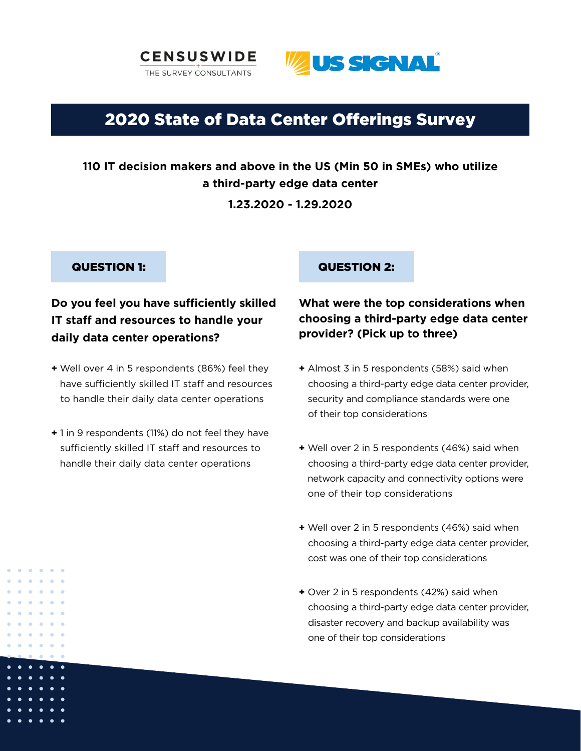



# 2020 State of Data Center Offerings Survey

## **110 IT decision makers and above in the US (Min 50 in SMEs) who utilize a third-party edge data center**

**1.23.2020 - 1.29.2020**

## **Do you feel you have sufficiently skilled IT staff and resources to handle your daily data center operations?**

- **+** Well over 4 in 5 respondents (86%) feel they have sufficiently skilled IT staff and resources to handle their daily data center operations
- **+** 1 in 9 respondents (11%) do not feel they have sufficiently skilled IT staff and resources to handle their daily data center operations

## QUESTION 1: QUESTION 2:

## **What were the top considerations when choosing a third-party edge data center provider? (Pick up to three)**

- **+** Almost 3 in 5 respondents (58%) said when choosing a third-party edge data center provider, security and compliance standards were one of their top considerations
- **+** Well over 2 in 5 respondents (46%) said when choosing a third-party edge data center provider, network capacity and connectivity options were one of their top considerations
- **+** Well over 2 in 5 respondents (46%) said when choosing a third-party edge data center provider, cost was one of their top considerations
- **+** Over 2 in 5 respondents (42%) said when choosing a third-party edge data center provider, disaster recovery and backup availability was one of their top considerations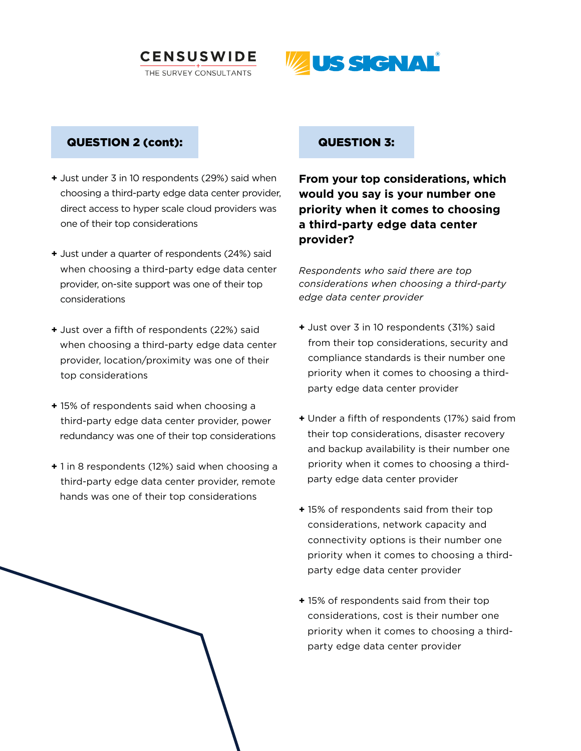



## QUESTION 2 (cont):

- **+** Just under 3 in 10 respondents (29%) said when choosing a third-party edge data center provider, direct access to hyper scale cloud providers was one of their top considerations
- **+** Just under a quarter of respondents (24%) said when choosing a third-party edge data center provider, on-site support was one of their top considerations
- **+** Just over a fifth of respondents (22%) said when choosing a third-party edge data center provider, location/proximity was one of their top considerations
- **+** 15% of respondents said when choosing a third-party edge data center provider, power redundancy was one of their top considerations
- **+** 1 in 8 respondents (12%) said when choosing a third-party edge data center provider, remote hands was one of their top considerations

#### QUESTION 3:

**From your top considerations, which would you say is your number one priority when it comes to choosing a third-party edge data center provider?**

*Respondents who said there are top considerations when choosing a third-party edge data center provider* 

- **+** Just over 3 in 10 respondents (31%) said from their top considerations, security and compliance standards is their number one priority when it comes to choosing a third party edge data center provider
- **+** Under a fifth of respondents (17%) said from their top considerations, disaster recovery and backup availability is their number one priority when it comes to choosing a third party edge data center provider
- **+** 15% of respondents said from their top considerations, network capacity and connectivity options is their number one priority when it comes to choosing a third party edge data center provider
- **+** 15% of respondents said from their top considerations, cost is their number one priority when it comes to choosing a third party edge data center provider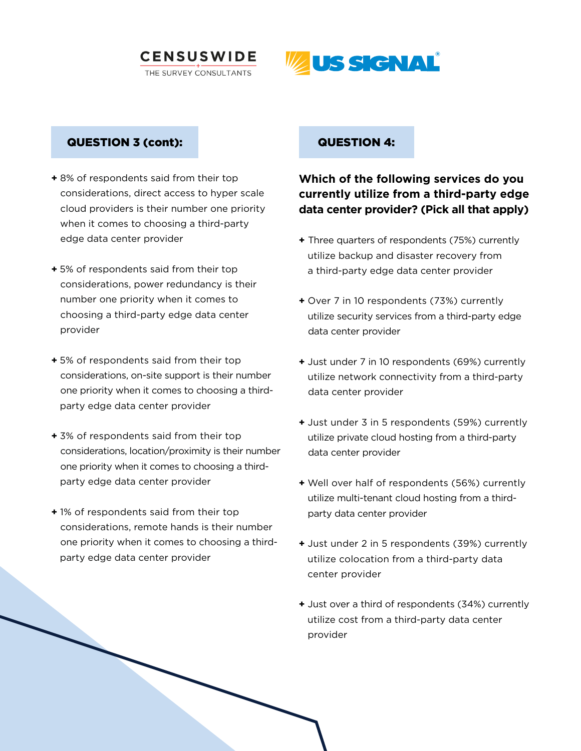



#### QUESTION 3 (cont):

- **+** 8% of respondents said from their top considerations, direct access to hyper scale cloud providers is their number one priority when it comes to choosing a third-party edge data center provider
- **+** 5% of respondents said from their top considerations, power redundancy is their number one priority when it comes to choosing a third-party edge data center provider
- **+** 5% of respondents said from their top considerations, on-site support is their number one priority when it comes to choosing a third party edge data center provider
- **+** 3% of respondents said from their top considerations, location/proximity is their number one priority when it comes to choosing a third party edge data center provider
- **+** 1% of respondents said from their top considerations, remote hands is their number one priority when it comes to choosing a third party edge data center provider

#### QUESTION 4:

## **Which of the following services do you currently utilize from a third-party edge data center provider? (Pick all that apply)**

- **+** Three quarters of respondents (75%) currently utilize backup and disaster recovery from a third-party edge data center provider
- **+** Over 7 in 10 respondents (73%) currently utilize security services from a third-party edge data center provider
- **+** Just under 7 in 10 respondents (69%) currently utilize network connectivity from a third-party data center provider
- **+** Just under 3 in 5 respondents (59%) currently utilize private cloud hosting from a third-party data center provider
- **+** Well over half of respondents (56%) currently utilize multi-tenant cloud hosting from a third party data center provider
- **+** Just under 2 in 5 respondents (39%) currently utilize colocation from a third-party data center provider
- **+** Just over a third of respondents (34%) currently utilize cost from a third-party data center provider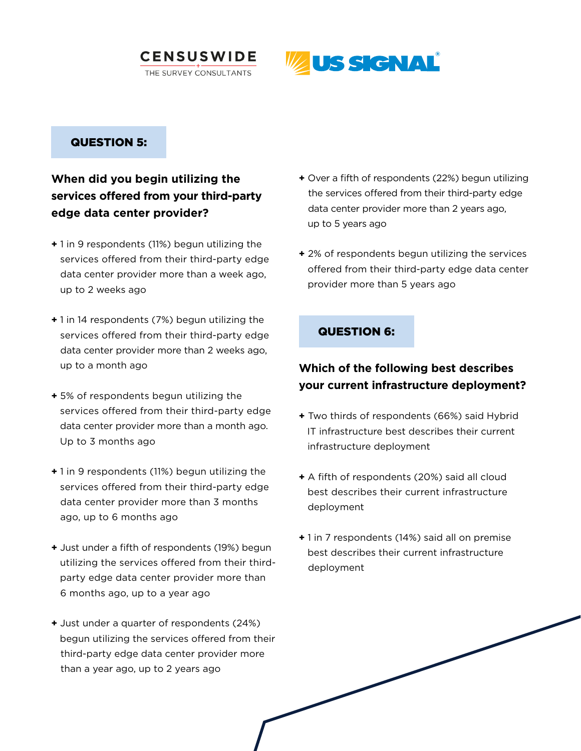



### QUESTION 5:

## **When did you begin utilizing the services offered from your third-party edge data center provider?**

- **+** 1 in 9 respondents (11%) begun utilizing the services offered from their third-party edge data center provider more than a week ago, up to 2 weeks ago
- **+** 1 in 14 respondents (7%) begun utilizing the services offered from their third-party edge data center provider more than 2 weeks ago, up to a month ago
- **+** 5% of respondents begun utilizing the services offered from their third-party edge data center provider more than a month ago. Up to 3 months ago
- **+** 1 in 9 respondents (11%) begun utilizing the services offered from their third-party edge data center provider more than 3 months ago, up to 6 months ago
- **+** Just under a fifth of respondents (19%) begun utilizing the services offered from their third party edge data center provider more than 6 months ago, up to a year ago
- **+** Just under a quarter of respondents (24%) begun utilizing the services offered from their third-party edge data center provider more than a year ago, up to 2 years ago
- **+** Over a fifth of respondents (22%) begun utilizing the services offered from their third-party edge data center provider more than 2 years ago, up to 5 years ago
- **+** 2% of respondents begun utilizing the services offered from their third-party edge data center provider more than 5 years ago

### QUESTION 6:

## **Which of the following best describes your current infrastructure deployment?**

- **+** Two thirds of respondents (66%) said Hybrid IT infrastructure best describes their current infrastructure deployment
- **+** A fifth of respondents (20%) said all cloud best describes their current infrastructure deployment
- **+** 1 in 7 respondents (14%) said all on premise best describes their current infrastructure deployment